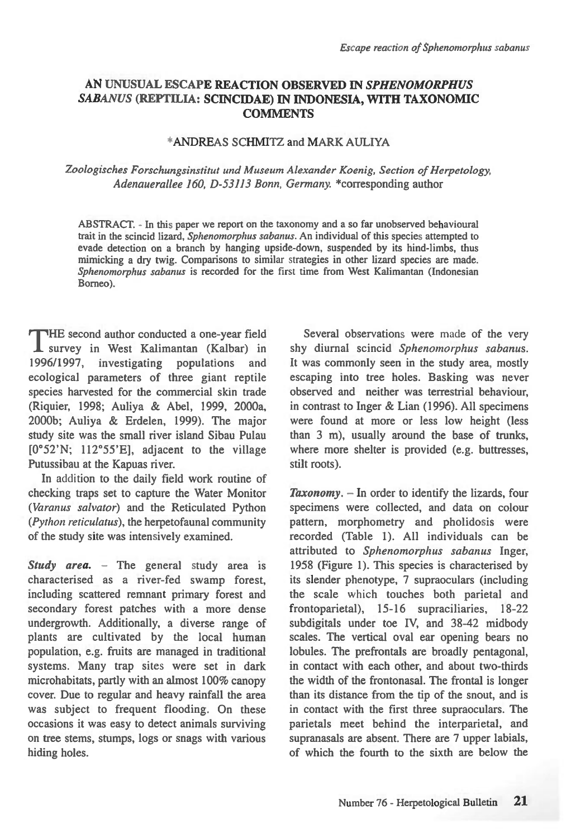# **AN UNUSUAL ESCAPE REACTION OBSERVED IN** *SPHENOMORPHUS SABANUS* **(REPTILIA: SCINCIDAE) IN INDONESIA, WITH TAXONOMIC COMMENTS**

## \*ANDREAS SCHMITZ and MARK AULIYA

## *Zoologisches Forschungsinstitut and Museum Alexander Koenig, Section of Herpetology, Adenauerallee 160, D-53113 Bonn, Germany.* \*corresponding author

ABSTRACT. - In this paper we report on the taxonomy and a so far unobserved behavioural trait in the scincid lizard, *Sphenomorphus sabanus.* An individual of this species attempted to evade detection on a branch by hanging upside-down, suspended by its hind-limbs, thus mimicking a dry twig. Comparisons to similar strategies in other lizard species are made. *Sphenomorphus sabanus* is recorded for the first time from West Kalimantan (Indonesian Borneo).

HE second author conducted a one-year field **1** survey in West Kalimantan (Kalbar) in 1996/1997, investigating populations and 1996/1997, investigating populations ecological parameters of three giant reptile species harvested for the commercial skin trade (Riquier, 1998; Auliya & Abel, 1999, 2000a, 2000b; Auliya & Erdelen, 1999). The major study site was the small river island Sibau Pulau [0°52'N; 112°55'E], adjacent to the village Putussibau at the Kapuas river.

In addition to the daily field work routine of checking traps set to capture the Water Monitor *(Varanus salvator)* and the Reticulated Python *(Python reticulatus),* the herpetofaunal community of the study site was intensively examined.

*Study area.* – The general study area is characterised as a river-fed swamp forest, including scattered remnant primary forest and secondary forest patches with a more dense undergrowth. Additionally, a diverse range of plants are cultivated by the local human population, e.g. fruits are managed in traditional systems. Many trap sites were set in dark microhabitats, partly with an almost 100% canopy cover. Due to regular and heavy rainfall the area was subject to frequent flooding. On these occasions it was easy to detect animals surviving on tree stems, stumps, logs or snags with various hiding holes.

Several observations were made of the very shy diurnal scincid *Sphenomorphus sabanus.*  It was commonly seen in the study area, mostly escaping into tree holes. Basking was never observed and neither was terrestrial behaviour, in contrast to Inger & Lian (1996). All specimens were found at more or less low height (less than 3 m), usually around the base of trunks, where more shelter is provided (e.g. buttresses, stilt roots).

*Taxonomy. —* In order to identify the lizards, four specimens were collected, and data on colour pattern, morphometry and pholidosis were recorded (Table 1). All individuals can be attributed to *Sphenomorphus sabanus* Inger, 1958 (Figure 1). This species is characterised by its slender phenotype, 7 supraoculars (including the scale which touches both parietal and frontoparietal), 15-16 supraciliaries, 18-22 subdigitals under toe IV, and 38-42 midbody scales. The vertical oval ear opening bears no lobules. The prefrontals are broadly pentagonal, in contact with each other, and about two-thirds the width of the frontonasal. The frontal is longer than its distance from the tip of the snout, and is in contact with the first three supraoculars. The parietals meet behind the interparietal, and supranasals are absent. There are 7 upper labials, of which the fourth to the sixth are below the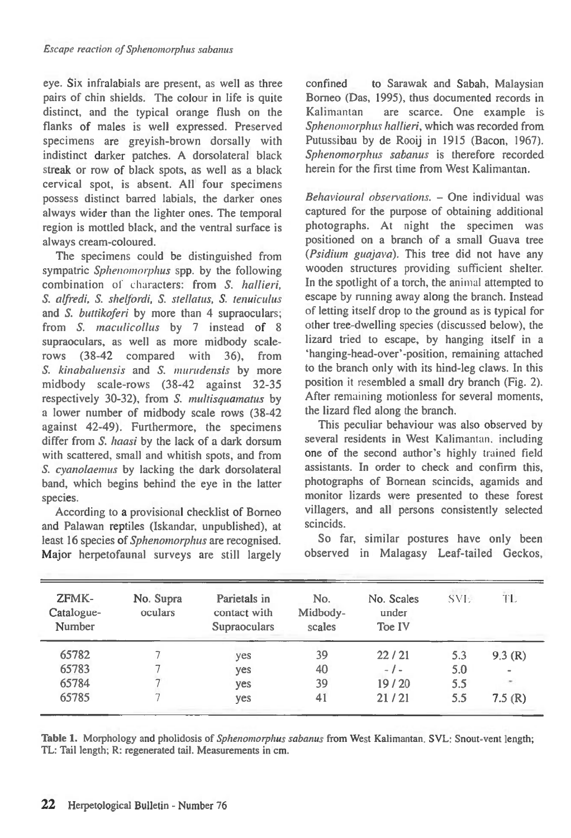eye. Six infralabials are present, as well as three pairs of chin shields. The colour in life is quite distinct, and the typical orange flush on the flanks of males is well expressed. Preserved specimens are greyish-brown dorsally with indistinct darker patches. A dorsolateral black streak or row of black spots, as well as a black cervical spot, is absent. All four specimens possess distinct barred labials, the darker ones always wider than the lighter ones. The temporal region is mottled black, and the ventral surface is always cream-coloured.

The specimens could be distinguished from sympatric *Sphenomorphus* spp. by the following combination of characters: from S. hallieri, S. alfredi, S. shelfordi, S. stellatus, S. tenuiculus and *S. buttikoferi* by more than 4 supraoculars; from S. maculicollus by 7 instead of 8 supraoculars, as well as more midbody scalerows (38-42 compared with 36), from S. kinabaluensis and *S.* murudensis by more midbody scale-rows (38-42 against 32-35 respectively 30-32), from *S.* multisquamatus by a lower number of midbody scale rows (38-42 against 42-49). Furthermore, the specimens differ from *S.* haasi by the lack of a dark dorsum with scattered, small and whitish spots, and from S. cyanolaemus by lacking the dark dorsolateral band, which begins behind the eye in the latter species.

According to a provisional checklist of Borneo and Palawan reptiles (Iskandar, unpublished), at least 16 species of Sphenomorphus are recognised. Major herpetofaunal surveys are still largely confined to Sarawak and Sabah, Malaysian Borneo (Das, 1995), thus documented records in Kalimantan are scarce. One example is Sphenomorphus hallieri, which was recorded from Putussibau by de Rooij in 1915 (Bacon, 1967). Sphenomorphus sabanus is therefore recorded herein for the first time from West Kalimantan.

Behavioural observations. — One individual was captured for the purpose of obtaining additional photographs. At night the specimen was positioned on a branch of a small Guava tree (Psidiwn guajava). This tree did not have any wooden structures providing sufficient shelter. In the spotlight of a torch, the animal attempted to escape by running away along the branch. Instead of letting itself drop to the ground as is typical for other tree-dwelling species (discussed below), the lizard tried to escape, by hanging itself in a `hanging-head-over-position, remaining attached to the branch only with its hind-leg claws. In this position it resembled a small dry branch (Fig. 2). After remaining motionless for several moments, the lizard fled along the branch.

This peculiar behaviour was also observed by several residents in West Kalimantan. including one of the second author's highly trained field assistants. In order to check and confirm this, photographs of Bornean scincids, agamids and monitor lizards were presented to these forest villagers, and all persons consistently selected scincids.

So far, similar postures have only been observed in Malagasy Leaf-tailed Geckos,

| ZFMK-<br>Catalogue-<br>Number | No. Supra<br>oculars | Parietals in<br>contact with<br><b>Supraoculars</b> | No.<br>Midbody-<br>scales | No. Scales<br>under<br>Toe IV | SVI- | TL     |
|-------------------------------|----------------------|-----------------------------------------------------|---------------------------|-------------------------------|------|--------|
| 65782                         |                      | yes                                                 | 39                        | 22/21                         | 5.3  | 9.3(R) |
| 65783                         |                      | yes                                                 | 40                        | $-1-$                         | 5.0  | $\,$   |
| 65784                         |                      | yes                                                 | 39                        | 19/20                         | 5.5  | ÷.     |
| 65785                         |                      | yes                                                 | 41                        | 21/21                         | 5.5  | 7.5(R) |

**Table 1.** Morphology and pholidosis of Sphenomorphus sabanus from West Kalimantan. SVL: Snout-vent length; TL: Tail length; R: regenerated tail. Measurements in cm.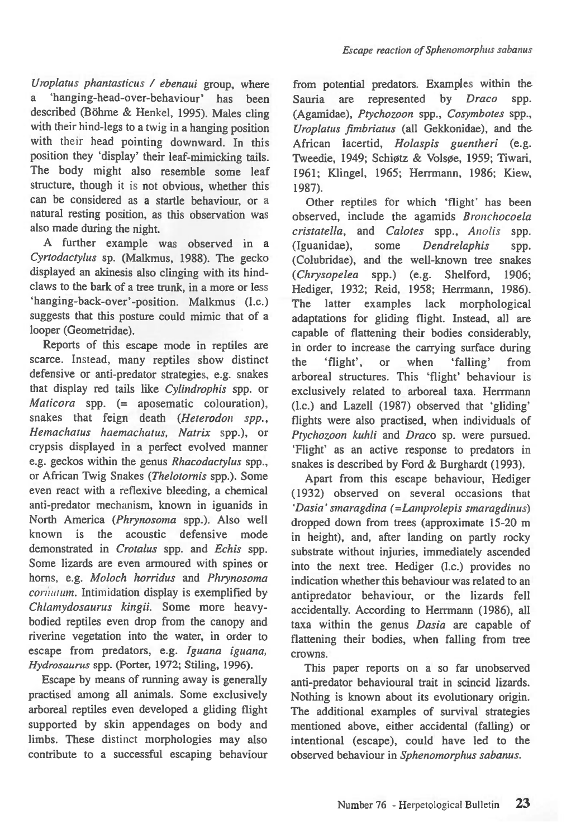*Uroplatus phantasticus / ebenaui* group, where 'hanging-head-over-behaviour' has been described (Böhme & Henkel, 1995). Males cling with their hind-legs to a twig in a hanging position with their head pointing downward. In this position they 'display' their leaf-mimicking tails. The body might also resemble some leaf structure, though it is not obvious, whether this can be considered as a startle behaviour, or a natural resting position, as this observation was also made during the night.

A further example was observed in *a Cyrtodactylus* sp. (Malkmus, 1988). The gecko displayed an akinesis also clinging with its hindclaws to the bark of a tree trunk, in a more or less hanging-back-over'-position. Malkmus (I.c.) suggests that this posture could mimic that of a looper (Geometridae).

Reports of this escape mode in reptiles are scarce. Instead, many reptiles show distinct defensive or anti-predator strategies, e.g. snakes that display red tails like *Cylindrophis* spp. or *Maticora* spp. (= aposematic colouration), snakes that feign death *(Heterodon spp., Hemachatus haemachatus, Natrix* spp.), or crypsis displayed in a perfect evolved manner e.g. geckos within the genus *Rhacodactylus* spp., or African Twig Snakes *(Thelotornis* spp.). Some even react with a reflexive bleeding, a chemical anti-predator mechanism, known in iguanids in North *America (Phrynosoma* spp.). Also well known is the acoustic defensive mode demonstrated in *Crotalus* spp. and *Echis* spp. Some lizards are even armoured with spines or horns, e.g. *Moloch horridus* and *Phrynosoma cornutum.* Intimidation display is exemplified by *Chlamydosaurus kingii.* Some more heavybodied reptiles even drop from the canopy and riverine vegetation into the water, in order to escape from predators, e.g. *Iguana iguana, Hydrosaurus* spp. (Porter, 1972; Stiling, 1996).

Escape by means of running away is generally practised among all animals. Some exclusively arboreal reptiles even developed a gliding flight supported by skin appendages on body and limbs. These distinct morphologies may also contribute to a successful escaping behaviour from potential predators. Examples within the Sauria are represented by *Draco* spp. (Agamidae), *Ptychozoon* spp., *Cosymbotes* spp., *Uroplatus fimbriatus* (all Gekkonidae), and the African lacertid, *Holaspis guentheri* (e.g. Tweedie, 1949; Schiøtz & Volsøe, 1959; Tiwari, 1961; Klingel, 1965; Herrmann, 1986; Kiew, 1987).

Other reptiles for which 'flight' has been observed, include the agamids *Bronchocoela cristatella,* and *Calotes* spp., *Anolis* spp. (Iguanidae), some *Dendrelaphis* spp. (Colubridae), and the well-known tree snakes *(Chrysopelea* spp.) (e.g. Shelford, 1906; Hediger, 1932; Reid, 1958; Herrmann, 1986). The latter examples lack morphological adaptations for gliding flight. Instead, all are capable of flattening their bodies considerably, in order to increase the carrying surface during the 'flight', or when 'falling' from arboreal structures. This 'flight' behaviour is exclusively related to arboreal taxa. Herrmann (l.c.) and Lazell (1987) observed that 'gliding' flights were also practised, when individuals of *Ptychozoon kuhli* and *Draco* sp. were pursued. 'Flight' as an active response to predators in snakes is described by Ford & Burghardt (1993).

Apart from this escape behaviour, Hediger (1932) observed on several occasions *that 'Dasia' smaragdina (=Lamprolepis smaragdinus)*  dropped down from trees (approximate 15-20 m in height), and, after landing on partly rocky substrate without injuries, immediately ascended into the next tree. Hediger (l.c.) provides no indication whether this behaviour was related to an antipredator behaviour, or the lizards fell accidentally. According to Herrmann (1986), all taxa within the genus *Dasia are* capable of flattening their bodies, when falling from tree crowns.

This paper reports on a so far unobserved anti-predator behavioural trait in scincid lizards. Nothing is known about its evolutionary origin. The additional examples of survival strategies mentioned above, either accidental (falling) or intentional (escape), could have led to the observed behaviour in *Sphenomorphus sabanus.*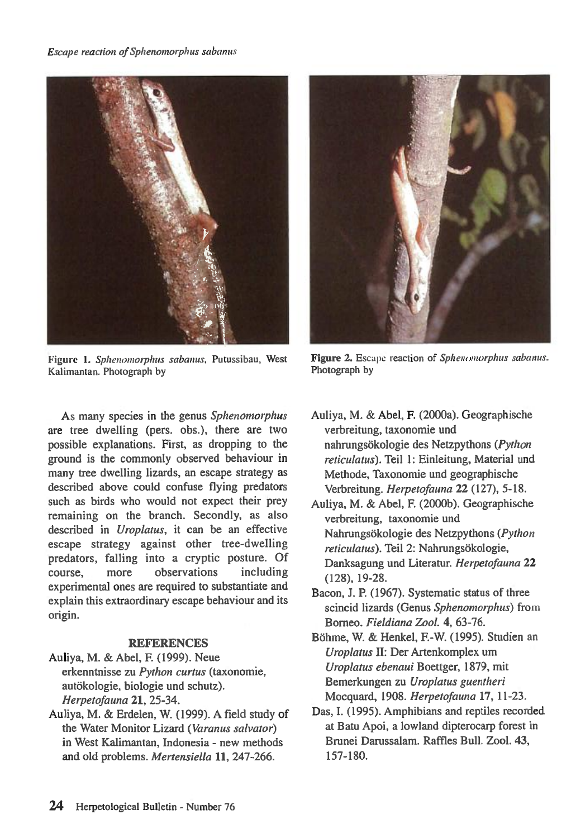#### *Escape reaction of Sphenomorphus sabanus*



Figure 1. *Sphenomorphus sabanus,* Putussibau, West Kalimantan. Photograph by

As many species in the genus *Sphenomorphus are* tree dwelling (pers. obs.), there are two possible explanations. First, as dropping to the ground is the commonly observed behaviour in many tree dwelling lizards, an escape strategy as described above could confuse flying predators such as birds who would not expect their prey remaining on the branch. Secondly, as also described in *Uroplatus, it* can be an effective escape strategy against other tree-dwelling predators, falling into a cryptic posture. Of course, more observations including experimental ones are required to substantiate and explain this extraordinary escape behaviour and its origin.

#### **REFERENCES**

- Auliya, M. & Abel, F. (1999). Neue erkenntnisse zu *Python curtus* (taxonomie, autökologie, biologie und schutz). *Herpetofauna* **21,** 25-34.
- Auliya, M. & Erdelen, W. (1999). A field study of the Water Monitor Lizard *(Varanus salvator)*  in West Kalimantan, Indonesia - new methods and old problems. *Mertensiella 11,* 247-266.



**Figure 2.** Escape reaction of *Sphenomorphus sabanus.*  Photograph by

- Auliya, M. & Abel, F. (2000a). Geographische verbreitung, taxonomie und nahrungsokologie des Netzpythons *(Python reticulatus).* Teil 1: Einleitung, Material und Methode, Taxonomie und geographische Verbreitung. *Herpetofauna* **22** (127), 5-18.
- Auliya, M. & Abel, F. (2000b). Geographische verbreitung, taxonomie und Nahrungsokologie des Netzpythons *(Python reticulatus*). Teil 2: Nahrungsökologie, Danksagung und Literatur. *Herpetofauna* **22**  (128), 19-28.
- Bacon, J. **P.** (1967). Systematic status of three scincid lizards (Genus *Sphenomorphus)* from Borneo. *Fieldiana Zool.* **4,** 63-76.
- Bohme, W. & Henkel, F.-W. (1995). Studien an *Uroplatus* II: Der Artenkomplex urn *Uroplatus ebenaui* Boettger, 1879, mit Bemerkungen zu *Uroplatus guentheri*  Mocquard, 1908. *Herpetofauna* **17,** 11-23.
- Das, I. (1995). Amphibians and reptiles recorded at Batu Apoi, a lowland dipterocarp forest in Brunei Darussalam. Raffles Bull. Zool. **43,**  157-180.